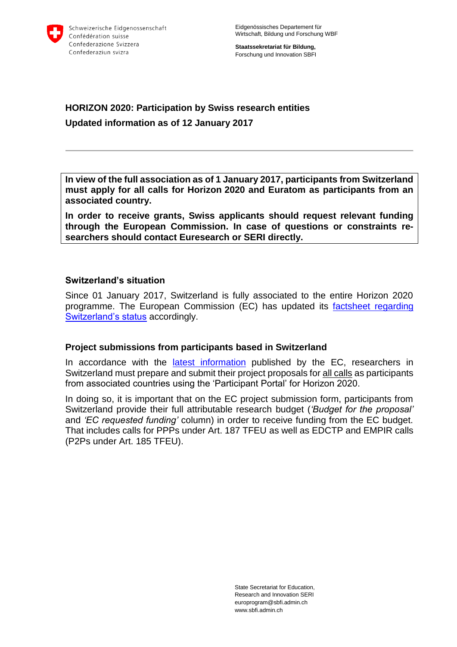

**Staatssekretariat für Bildung,** Forschung und Innovation SBFI

## **HORIZON 2020: Participation by Swiss research entities Updated information as of 12 January 2017**

**In view of the full association as of 1 January 2017, participants from Switzerland must apply for all calls for Horizon 2020 and Euratom as participants from an associated country.** 

**In order to receive grants, Swiss applicants should request relevant funding through the European Commission. In case of questions or constraints researchers should contact Euresearch or SERI directly.**

#### **Switzerland's situation**

Since 01 January 2017, Switzerland is fully associated to the entire Horizon 2020 programme. The European Commission (EC) has updated its [factsheet regarding](http://ec.europa.eu/research/participants/data/ref/h2020/other/hi/h2020-hi-swiss-part_en.pdf)  [Switzerland's status](http://ec.europa.eu/research/participants/data/ref/h2020/other/hi/h2020-hi-swiss-part_en.pdf) accordingly.

#### **Project submissions from participants based in Switzerland**

In accordance with the *latest [information](http://ec.europa.eu/research/participants/data/ref/h2020/other/hi/h2020-hi-swiss-part_en.pdf)* published by the EC, researchers in Switzerland must prepare and submit their project proposals for all calls as participants from associated countries using the 'Participant Portal' for Horizon 2020.

In doing so, it is important that on the EC project submission form, participants from Switzerland provide their full attributable research budget (*'Budget for the proposal'*  and *'EC requested funding'* column) in order to receive funding from the EC budget. That includes calls for PPPs under Art. 187 TFEU as well as EDCTP and EMPIR calls (P2Ps under Art. 185 TFEU).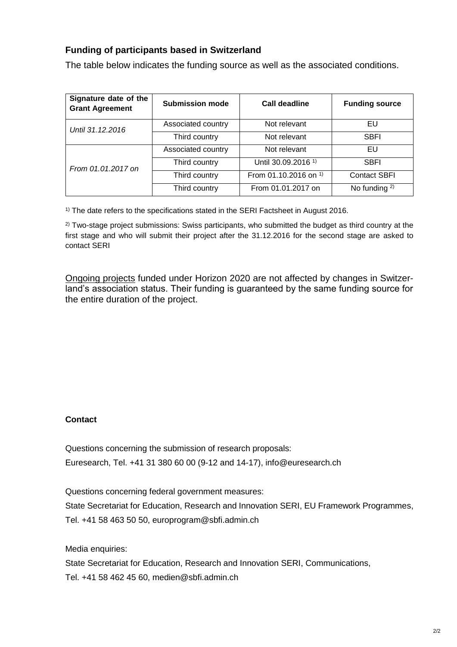### **Funding of participants based in Switzerland**

The table below indicates the funding source as well as the associated conditions.

| Signature date of the<br><b>Grant Agreement</b> | <b>Submission mode</b> | <b>Call deadline</b>             | <b>Funding source</b> |
|-------------------------------------------------|------------------------|----------------------------------|-----------------------|
| Until 31.12.2016                                | Associated country     | Not relevant                     | EU                    |
|                                                 | Third country          | Not relevant                     | <b>SBFI</b>           |
| From 01.01.2017 on                              | Associated country     | Not relevant                     | EU                    |
|                                                 | Third country          | Until 30.09.2016 <sup>1)</sup>   | <b>SBFI</b>           |
|                                                 | Third country          | From 01.10.2016 on <sup>1)</sup> | <b>Contact SBFI</b>   |
|                                                 | Third country          | From 01.01.2017 on               | No funding $2$ )      |

<sup>1)</sup> The date refers to the specifications stated in the SERI Factsheet in August 2016.

<sup>2)</sup> Two-stage project submissions: Swiss participants, who submitted the budget as third country at the first stage and who will submit their project after the 31.12.2016 for the second stage are asked to contact SERI

Ongoing projects funded under Horizon 2020 are not affected by changes in Switzerland's association status. Their funding is guaranteed by the same funding source for the entire duration of the project.

#### **Contact**

Questions concerning the submission of research proposals: Euresearch, Tel. +41 31 380 60 00 (9-12 and 14-17), info@euresearch.ch

Questions concerning federal government measures: State Secretariat for Education, Research and Innovation SERI, EU Framework Programmes, Tel. +41 58 463 50 50, europrogram@sbfi.admin.ch

Media enquiries:

State Secretariat for Education, Research and Innovation SERI, Communications, Tel. +41 58 462 45 60, medien@sbfi.admin.ch